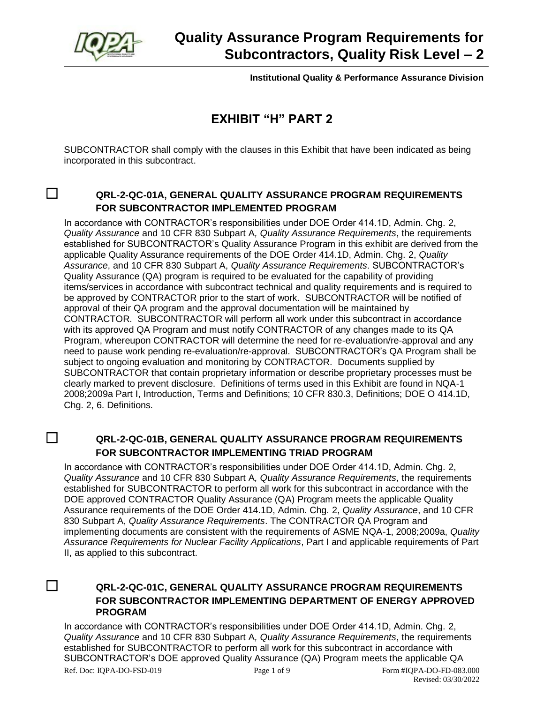

**Institutional Quality & Performance Assurance Division**

## **EXHIBIT "H" PART 2**

SUBCONTRACTOR shall comply with the clauses in this Exhibit that have been indicated as being incorporated in this subcontract.

## ☐ **QRL-2-QC-01A, GENERAL QUALITY ASSURANCE PROGRAM REQUIREMENTS FOR SUBCONTRACTOR IMPLEMENTED PROGRAM**

In accordance with CONTRACTOR's responsibilities under DOE Order 414.1D, Admin. Chg. 2, *Quality Assurance* and 10 CFR 830 Subpart A*, Quality Assurance Requirements*, the requirements established for SUBCONTRACTOR's Quality Assurance Program in this exhibit are derived from the applicable Quality Assurance requirements of the DOE Order 414.1D, Admin. Chg. 2, *Quality Assurance*, and 10 CFR 830 Subpart A, *Quality Assurance Requirements*. SUBCONTRACTOR's Quality Assurance (QA) program is required to be evaluated for the capability of providing items/services in accordance with subcontract technical and quality requirements and is required to be approved by CONTRACTOR prior to the start of work. SUBCONTRACTOR will be notified of approval of their QA program and the approval documentation will be maintained by CONTRACTOR. SUBCONTRACTOR will perform all work under this subcontract in accordance with its approved QA Program and must notify CONTRACTOR of any changes made to its QA Program, whereupon CONTRACTOR will determine the need for re-evaluation/re-approval and any need to pause work pending re-evaluation/re-approval. SUBCONTRACTOR's QA Program shall be subject to ongoing evaluation and monitoring by CONTRACTOR. Documents supplied by SUBCONTRACTOR that contain proprietary information or describe proprietary processes must be clearly marked to prevent disclosure. Definitions of terms used in this Exhibit are found in NQA-1 2008;2009a Part I, Introduction, Terms and Definitions; 10 CFR 830.3, Definitions; DOE O 414.1D, Chg. 2, 6. Definitions.

## ☐ **QRL-2-QC-01B, GENERAL QUALITY ASSURANCE PROGRAM REQUIREMENTS FOR SUBCONTRACTOR IMPLEMENTING TRIAD PROGRAM**

In accordance with CONTRACTOR's responsibilities under DOE Order 414.1D, Admin. Chg. 2, *Quality Assurance* and 10 CFR 830 Subpart A*, Quality Assurance Requirements*, the requirements established for SUBCONTRACTOR to perform all work for this subcontract in accordance with the DOE approved CONTRACTOR Quality Assurance (QA) Program meets the applicable Quality Assurance requirements of the DOE Order 414.1D, Admin. Chg. 2, *Quality Assurance*, and 10 CFR 830 Subpart A, *Quality Assurance Requirements*. The CONTRACTOR QA Program and implementing documents are consistent with the requirements of ASME NQA-1, 2008;2009a, *Quality Assurance Requirements for Nuclear Facility Applications*, Part I and applicable requirements of Part II, as applied to this subcontract.

#### ☐ **QRL-2-QC-01C, GENERAL QUALITY ASSURANCE PROGRAM REQUIREMENTS FOR SUBCONTRACTOR IMPLEMENTING DEPARTMENT OF ENERGY APPROVED PROGRAM**

In accordance with CONTRACTOR's responsibilities under DOE Order 414.1D, Admin. Chg. 2, *Quality Assurance* and 10 CFR 830 Subpart A*, Quality Assurance Requirements*, the requirements established for SUBCONTRACTOR to perform all work for this subcontract in accordance with SUBCONTRACTOR's DOE approved Quality Assurance (QA) Program meets the applicable QA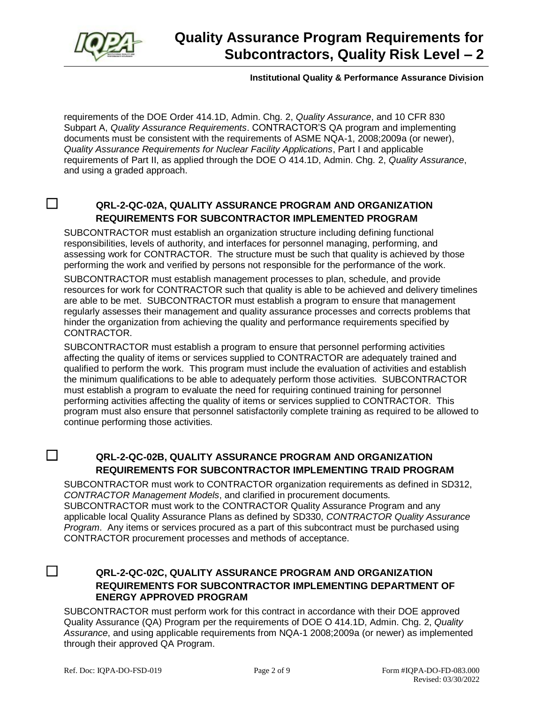

#### **Institutional Quality & Performance Assurance Division**

requirements of the DOE Order 414.1D, Admin. Chg. 2, *Quality Assurance*, and 10 CFR 830 Subpart A, *Quality Assurance Requirements*. CONTRACTOR'S QA program and implementing documents must be consistent with the requirements of ASME NQA-1, 2008;2009a (or newer), *Quality Assurance Requirements for Nuclear Facility Applications*, Part I and applicable requirements of Part II, as applied through the DOE O 414.1D, Admin. Chg. 2, *Quality Assurance*, and using a graded approach.

#### ☐ **QRL-2-QC-02A, QUALITY ASSURANCE PROGRAM AND ORGANIZATION REQUIREMENTS FOR SUBCONTRACTOR IMPLEMENTED PROGRAM**

SUBCONTRACTOR must establish an organization structure including defining functional responsibilities, levels of authority, and interfaces for personnel managing, performing, and assessing work for CONTRACTOR. The structure must be such that quality is achieved by those performing the work and verified by persons not responsible for the performance of the work.

SUBCONTRACTOR must establish management processes to plan, schedule, and provide resources for work for CONTRACTOR such that quality is able to be achieved and delivery timelines are able to be met. SUBCONTRACTOR must establish a program to ensure that management regularly assesses their management and quality assurance processes and corrects problems that hinder the organization from achieving the quality and performance requirements specified by CONTRACTOR.

SUBCONTRACTOR must establish a program to ensure that personnel performing activities affecting the quality of items or services supplied to CONTRACTOR are adequately trained and qualified to perform the work. This program must include the evaluation of activities and establish the minimum qualifications to be able to adequately perform those activities. SUBCONTRACTOR must establish a program to evaluate the need for requiring continued training for personnel performing activities affecting the quality of items or services supplied to CONTRACTOR. This program must also ensure that personnel satisfactorily complete training as required to be allowed to continue performing those activities.

## ☐ **QRL-2-QC-02B, QUALITY ASSURANCE PROGRAM AND ORGANIZATION REQUIREMENTS FOR SUBCONTRACTOR IMPLEMENTING TRAID PROGRAM**

SUBCONTRACTOR must work to CONTRACTOR organization requirements as defined in SD312, *CONTRACTOR Management Models*, and clarified in procurement documents. SUBCONTRACTOR must work to the CONTRACTOR Quality Assurance Program and any applicable local Quality Assurance Plans as defined by SD330, *CONTRACTOR Quality Assurance Program*. Any items or services procured as a part of this subcontract must be purchased using CONTRACTOR procurement processes and methods of acceptance.

#### ☐ **QRL-2-QC-02C, QUALITY ASSURANCE PROGRAM AND ORGANIZATION REQUIREMENTS FOR SUBCONTRACTOR IMPLEMENTING DEPARTMENT OF ENERGY APPROVED PROGRAM**

SUBCONTRACTOR must perform work for this contract in accordance with their DOE approved Quality Assurance (QA) Program per the requirements of DOE O 414.1D, Admin. Chg. 2, *Quality Assurance*, and using applicable requirements from NQA-1 2008;2009a (or newer) as implemented through their approved QA Program.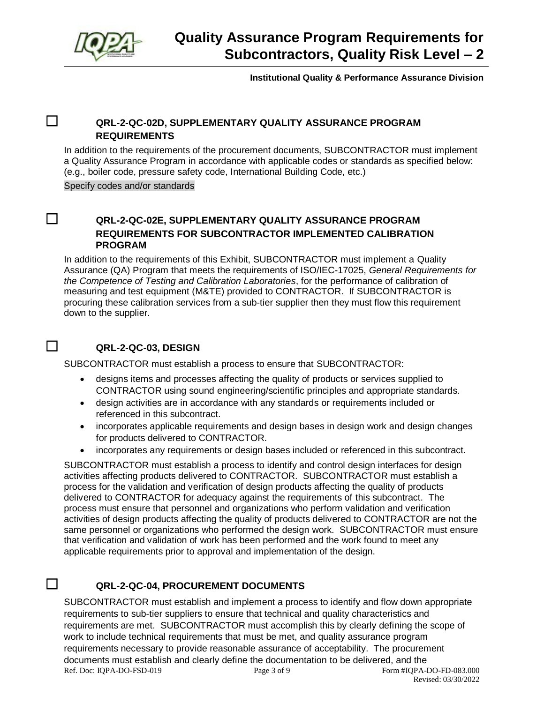

**Institutional Quality & Performance Assurance Division**

#### ☐ **QRL-2-QC-02D, SUPPLEMENTARY QUALITY ASSURANCE PROGRAM REQUIREMENTS**

In addition to the requirements of the procurement documents, SUBCONTRACTOR must implement a Quality Assurance Program in accordance with applicable codes or standards as specified below: (e.g., boiler code, pressure safety code, International Building Code, etc.)

Specify codes and/or standards

#### ☐ **QRL-2-QC-02E, SUPPLEMENTARY QUALITY ASSURANCE PROGRAM REQUIREMENTS FOR SUBCONTRACTOR IMPLEMENTED CALIBRATION PROGRAM**

In addition to the requirements of this Exhibit, SUBCONTRACTOR must implement a Quality Assurance (QA) Program that meets the requirements of ISO/IEC-17025, *General Requirements for the Competence of Testing and Calibration Laboratories*, for the performance of calibration of measuring and test equipment (M&TE) provided to CONTRACTOR. If SUBCONTRACTOR is procuring these calibration services from a sub-tier supplier then they must flow this requirement down to the supplier.

### ☐ **QRL-2-QC-03, DESIGN**

SUBCONTRACTOR must establish a process to ensure that SUBCONTRACTOR:

- designs items and processes affecting the quality of products or services supplied to CONTRACTOR using sound engineering/scientific principles and appropriate standards.
- design activities are in accordance with any standards or requirements included or referenced in this subcontract.
- incorporates applicable requirements and design bases in design work and design changes for products delivered to CONTRACTOR.
- incorporates any requirements or design bases included or referenced in this subcontract.

SUBCONTRACTOR must establish a process to identify and control design interfaces for design activities affecting products delivered to CONTRACTOR. SUBCONTRACTOR must establish a process for the validation and verification of design products affecting the quality of products delivered to CONTRACTOR for adequacy against the requirements of this subcontract. The process must ensure that personnel and organizations who perform validation and verification activities of design products affecting the quality of products delivered to CONTRACTOR are not the same personnel or organizations who performed the design work. SUBCONTRACTOR must ensure that verification and validation of work has been performed and the work found to meet any applicable requirements prior to approval and implementation of the design.

### ☐ **QRL-2-QC-04, PROCUREMENT DOCUMENTS**

Ref. Doc: IQPA-DO-FSD-019 Page 3 of 9 Form #IQPA-DO-FD-083.000 SUBCONTRACTOR must establish and implement a process to identify and flow down appropriate requirements to sub-tier suppliers to ensure that technical and quality characteristics and requirements are met. SUBCONTRACTOR must accomplish this by clearly defining the scope of work to include technical requirements that must be met, and quality assurance program requirements necessary to provide reasonable assurance of acceptability. The procurement documents must establish and clearly define the documentation to be delivered, and the

Revised: 03/30/2022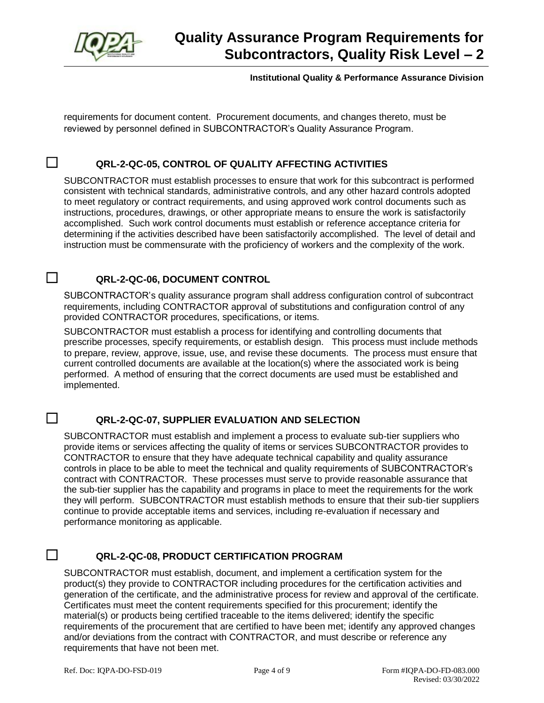

#### **Institutional Quality & Performance Assurance Division**

requirements for document content. Procurement documents, and changes thereto, must be reviewed by personnel defined in SUBCONTRACTOR's Quality Assurance Program.

#### ☐ **QRL-2-QC-05, CONTROL OF QUALITY AFFECTING ACTIVITIES**

SUBCONTRACTOR must establish processes to ensure that work for this subcontract is performed consistent with technical standards, administrative controls, and any other hazard controls adopted to meet regulatory or contract requirements, and using approved work control documents such as instructions, procedures, drawings, or other appropriate means to ensure the work is satisfactorily accomplished. Such work control documents must establish or reference acceptance criteria for determining if the activities described have been satisfactorily accomplished. The level of detail and instruction must be commensurate with the proficiency of workers and the complexity of the work.

#### ☐ **QRL-2-QC-06, DOCUMENT CONTROL**

SUBCONTRACTOR's quality assurance program shall address configuration control of subcontract requirements, including CONTRACTOR approval of substitutions and configuration control of any provided CONTRACTOR procedures, specifications, or items.

SUBCONTRACTOR must establish a process for identifying and controlling documents that prescribe processes, specify requirements, or establish design. This process must include methods to prepare, review, approve, issue, use, and revise these documents. The process must ensure that current controlled documents are available at the location(s) where the associated work is being performed. A method of ensuring that the correct documents are used must be established and implemented.

#### ☐ **QRL-2-QC-07, SUPPLIER EVALUATION AND SELECTION**

SUBCONTRACTOR must establish and implement a process to evaluate sub-tier suppliers who provide items or services affecting the quality of items or services SUBCONTRACTOR provides to CONTRACTOR to ensure that they have adequate technical capability and quality assurance controls in place to be able to meet the technical and quality requirements of SUBCONTRACTOR's contract with CONTRACTOR. These processes must serve to provide reasonable assurance that the sub-tier supplier has the capability and programs in place to meet the requirements for the work they will perform. SUBCONTRACTOR must establish methods to ensure that their sub-tier suppliers continue to provide acceptable items and services, including re-evaluation if necessary and performance monitoring as applicable.

#### ☐ **QRL-2-QC-08, PRODUCT CERTIFICATION PROGRAM**

SUBCONTRACTOR must establish, document, and implement a certification system for the product(s) they provide to CONTRACTOR including procedures for the certification activities and generation of the certificate, and the administrative process for review and approval of the certificate. Certificates must meet the content requirements specified for this procurement; identify the material(s) or products being certified traceable to the items delivered; identify the specific requirements of the procurement that are certified to have been met; identify any approved changes and/or deviations from the contract with CONTRACTOR, and must describe or reference any requirements that have not been met.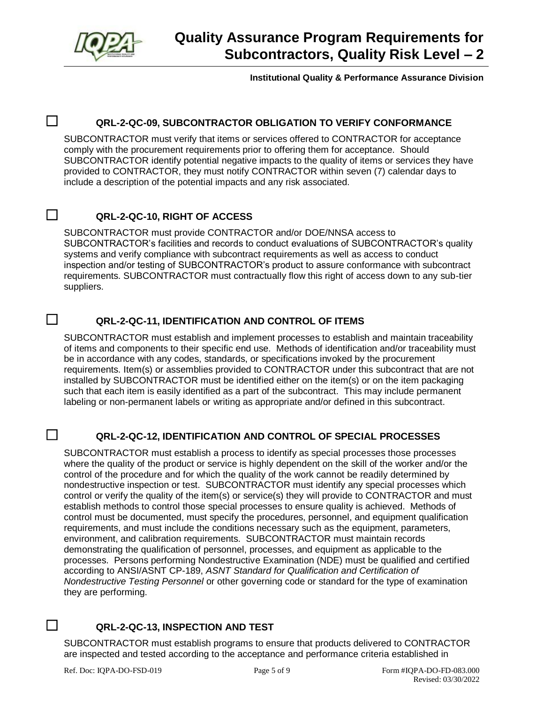

**Institutional Quality & Performance Assurance Division**

#### ☐ **QRL-2-QC-09, SUBCONTRACTOR OBLIGATION TO VERIFY CONFORMANCE**

SUBCONTRACTOR must verify that items or services offered to CONTRACTOR for acceptance comply with the procurement requirements prior to offering them for acceptance. Should SUBCONTRACTOR identify potential negative impacts to the quality of items or services they have provided to CONTRACTOR, they must notify CONTRACTOR within seven (7) calendar days to include a description of the potential impacts and any risk associated.

#### ☐ **QRL-2-QC-10, RIGHT OF ACCESS**

SUBCONTRACTOR must provide CONTRACTOR and/or DOE/NNSA access to SUBCONTRACTOR's facilities and records to conduct evaluations of SUBCONTRACTOR's quality systems and verify compliance with subcontract requirements as well as access to conduct inspection and/or testing of SUBCONTRACTOR's product to assure conformance with subcontract requirements. SUBCONTRACTOR must contractually flow this right of access down to any sub-tier suppliers.

#### ☐ **QRL-2-QC-11, IDENTIFICATION AND CONTROL OF ITEMS**

SUBCONTRACTOR must establish and implement processes to establish and maintain traceability of items and components to their specific end use. Methods of identification and/or traceability must be in accordance with any codes, standards, or specifications invoked by the procurement requirements. Item(s) or assemblies provided to CONTRACTOR under this subcontract that are not installed by SUBCONTRACTOR must be identified either on the item(s) or on the item packaging such that each item is easily identified as a part of the subcontract. This may include permanent labeling or non-permanent labels or writing as appropriate and/or defined in this subcontract.

#### ☐ **QRL-2-QC-12, IDENTIFICATION AND CONTROL OF SPECIAL PROCESSES**

SUBCONTRACTOR must establish a process to identify as special processes those processes where the quality of the product or service is highly dependent on the skill of the worker and/or the control of the procedure and for which the quality of the work cannot be readily determined by nondestructive inspection or test. SUBCONTRACTOR must identify any special processes which control or verify the quality of the item(s) or service(s) they will provide to CONTRACTOR and must establish methods to control those special processes to ensure quality is achieved. Methods of control must be documented, must specify the procedures, personnel, and equipment qualification requirements, and must include the conditions necessary such as the equipment, parameters, environment, and calibration requirements. SUBCONTRACTOR must maintain records demonstrating the qualification of personnel, processes, and equipment as applicable to the processes. Persons performing Nondestructive Examination (NDE) must be qualified and certified according to ANSI/ASNT CP-189, *ASNT Standard for Qualification and Certification of Nondestructive Testing Personnel* or other governing code or standard for the type of examination they are performing.

## ☐ **QRL-2-QC-13, INSPECTION AND TEST**

SUBCONTRACTOR must establish programs to ensure that products delivered to CONTRACTOR are inspected and tested according to the acceptance and performance criteria established in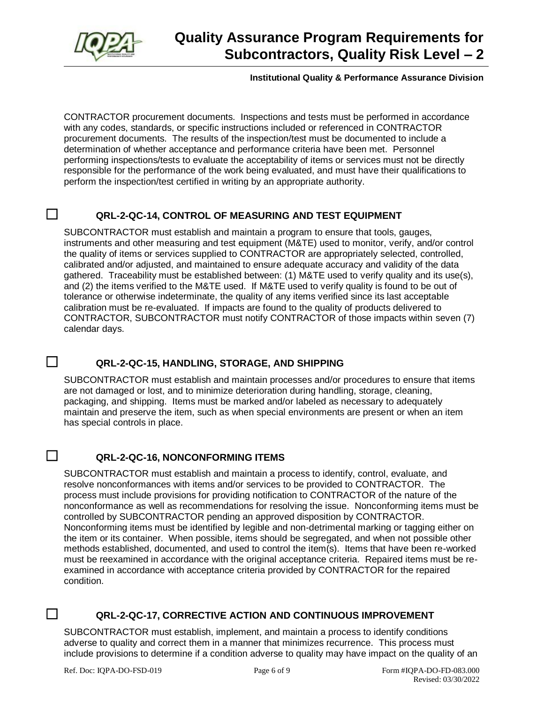

#### **Institutional Quality & Performance Assurance Division**

CONTRACTOR procurement documents. Inspections and tests must be performed in accordance with any codes, standards, or specific instructions included or referenced in CONTRACTOR procurement documents. The results of the inspection/test must be documented to include a determination of whether acceptance and performance criteria have been met. Personnel performing inspections/tests to evaluate the acceptability of items or services must not be directly responsible for the performance of the work being evaluated, and must have their qualifications to perform the inspection/test certified in writing by an appropriate authority.

#### ☐ **QRL-2-QC-14, CONTROL OF MEASURING AND TEST EQUIPMENT**

SUBCONTRACTOR must establish and maintain a program to ensure that tools, gauges, instruments and other measuring and test equipment (M&TE) used to monitor, verify, and/or control the quality of items or services supplied to CONTRACTOR are appropriately selected, controlled, calibrated and/or adjusted, and maintained to ensure adequate accuracy and validity of the data gathered. Traceability must be established between: (1) M&TE used to verify quality and its use(s), and (2) the items verified to the M&TE used. If M&TE used to verify quality is found to be out of tolerance or otherwise indeterminate, the quality of any items verified since its last acceptable calibration must be re-evaluated. If impacts are found to the quality of products delivered to CONTRACTOR, SUBCONTRACTOR must notify CONTRACTOR of those impacts within seven (7) calendar days.

#### ☐ **QRL-2-QC-15, HANDLING, STORAGE, AND SHIPPING**

SUBCONTRACTOR must establish and maintain processes and/or procedures to ensure that items are not damaged or lost, and to minimize deterioration during handling, storage, cleaning, packaging, and shipping. Items must be marked and/or labeled as necessary to adequately maintain and preserve the item, such as when special environments are present or when an item has special controls in place.

## ☐ **QRL-2-QC-16, NONCONFORMING ITEMS**

SUBCONTRACTOR must establish and maintain a process to identify, control, evaluate, and resolve nonconformances with items and/or services to be provided to CONTRACTOR. The process must include provisions for providing notification to CONTRACTOR of the nature of the nonconformance as well as recommendations for resolving the issue. Nonconforming items must be controlled by SUBCONTRACTOR pending an approved disposition by CONTRACTOR. Nonconforming items must be identified by legible and non-detrimental marking or tagging either on the item or its container. When possible, items should be segregated, and when not possible other methods established, documented, and used to control the item(s). Items that have been re-worked must be reexamined in accordance with the original acceptance criteria. Repaired items must be reexamined in accordance with acceptance criteria provided by CONTRACTOR for the repaired condition.

## ☐ **QRL-2-QC-17, CORRECTIVE ACTION AND CONTINUOUS IMPROVEMENT**

SUBCONTRACTOR must establish, implement, and maintain a process to identify conditions adverse to quality and correct them in a manner that minimizes recurrence. This process must include provisions to determine if a condition adverse to quality may have impact on the quality of an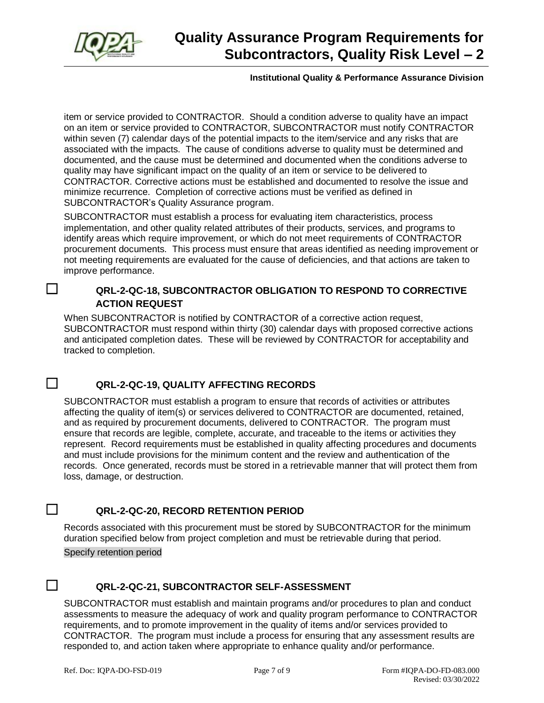

#### **Institutional Quality & Performance Assurance Division**

item or service provided to CONTRACTOR. Should a condition adverse to quality have an impact on an item or service provided to CONTRACTOR, SUBCONTRACTOR must notify CONTRACTOR within seven (7) calendar days of the potential impacts to the item/service and any risks that are associated with the impacts. The cause of conditions adverse to quality must be determined and documented, and the cause must be determined and documented when the conditions adverse to quality may have significant impact on the quality of an item or service to be delivered to CONTRACTOR. Corrective actions must be established and documented to resolve the issue and minimize recurrence. Completion of corrective actions must be verified as defined in SUBCONTRACTOR's Quality Assurance program.

SUBCONTRACTOR must establish a process for evaluating item characteristics, process implementation, and other quality related attributes of their products, services, and programs to identify areas which require improvement, or which do not meet requirements of CONTRACTOR procurement documents. This process must ensure that areas identified as needing improvement or not meeting requirements are evaluated for the cause of deficiencies, and that actions are taken to improve performance.

#### ☐ **QRL-2-QC-18, SUBCONTRACTOR OBLIGATION TO RESPOND TO CORRECTIVE ACTION REQUEST**

When SUBCONTRACTOR is notified by CONTRACTOR of a corrective action request, SUBCONTRACTOR must respond within thirty (30) calendar days with proposed corrective actions and anticipated completion dates. These will be reviewed by CONTRACTOR for acceptability and tracked to completion.

#### ☐ **QRL-2-QC-19, QUALITY AFFECTING RECORDS**

SUBCONTRACTOR must establish a program to ensure that records of activities or attributes affecting the quality of item(s) or services delivered to CONTRACTOR are documented, retained, and as required by procurement documents, delivered to CONTRACTOR. The program must ensure that records are legible, complete, accurate, and traceable to the items or activities they represent. Record requirements must be established in quality affecting procedures and documents and must include provisions for the minimum content and the review and authentication of the records. Once generated, records must be stored in a retrievable manner that will protect them from loss, damage, or destruction.

### ☐ **QRL-2-QC-20, RECORD RETENTION PERIOD**

Records associated with this procurement must be stored by SUBCONTRACTOR for the minimum duration specified below from project completion and must be retrievable during that period.

Specify retention period

## ☐ **QRL-2-QC-21, SUBCONTRACTOR SELF-ASSESSMENT**

SUBCONTRACTOR must establish and maintain programs and/or procedures to plan and conduct assessments to measure the adequacy of work and quality program performance to CONTRACTOR requirements, and to promote improvement in the quality of items and/or services provided to CONTRACTOR. The program must include a process for ensuring that any assessment results are responded to, and action taken where appropriate to enhance quality and/or performance.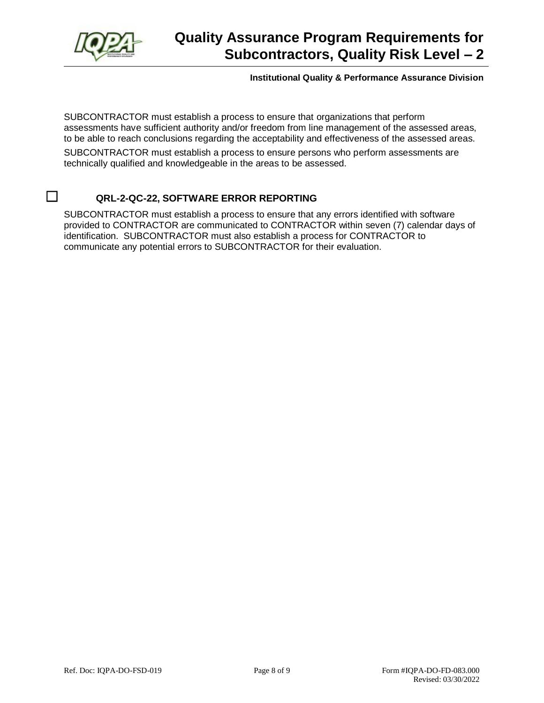

#### **Institutional Quality & Performance Assurance Division**

SUBCONTRACTOR must establish a process to ensure that organizations that perform assessments have sufficient authority and/or freedom from line management of the assessed areas, to be able to reach conclusions regarding the acceptability and effectiveness of the assessed areas.

SUBCONTRACTOR must establish a process to ensure persons who perform assessments are technically qualified and knowledgeable in the areas to be assessed.

## ☐ **QRL-2-QC-22, SOFTWARE ERROR REPORTING**

SUBCONTRACTOR must establish a process to ensure that any errors identified with software provided to CONTRACTOR are communicated to CONTRACTOR within seven (7) calendar days of identification. SUBCONTRACTOR must also establish a process for CONTRACTOR to communicate any potential errors to SUBCONTRACTOR for their evaluation.